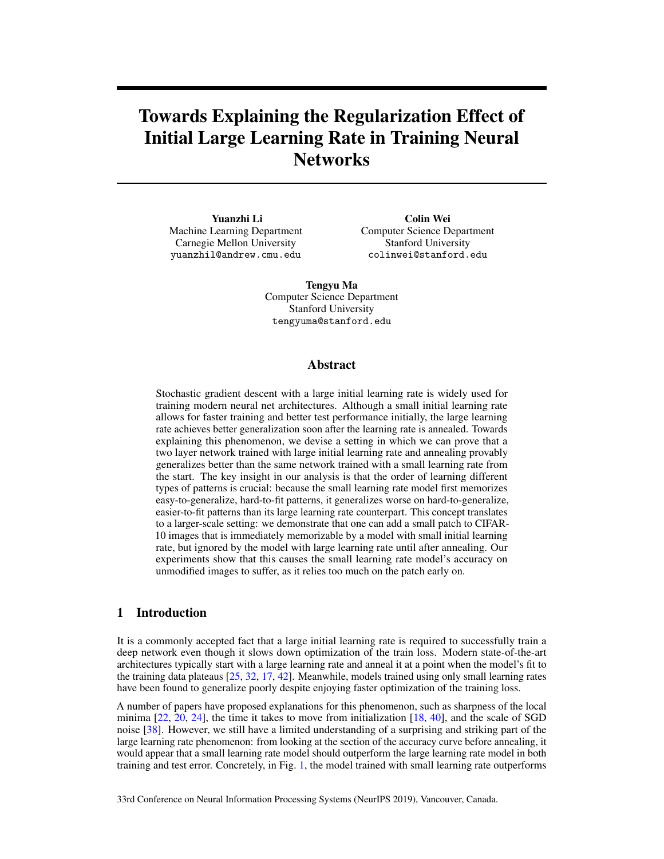# Towards Explaining the Regularization Effect of Initial Large Learning Rate in Training Neural **Networks**

Yuanzhi Li Machine Learning Department Carnegie Mellon University yuanzhil@andrew.cmu.edu

Colin Wei Computer Science Department Stanford University colinwei@stanford.edu

Tengyu Ma Computer Science Department Stanford University tengyuma@stanford.edu

#### Abstract

Stochastic gradient descent with a large initial learning rate is widely used for training modern neural net architectures. Although a small initial learning rate allows for faster training and better test performance initially, the large learning rate achieves better generalization soon after the learning rate is annealed. Towards explaining this phenomenon, we devise a setting in which we can prove that a two layer network trained with large initial learning rate and annealing provably generalizes better than the same network trained with a small learning rate from the start. The key insight in our analysis is that the order of learning different types of patterns is crucial: because the small learning rate model first memorizes easy-to-generalize, hard-to-fit patterns, it generalizes worse on hard-to-generalize, easier-to-fit patterns than its large learning rate counterpart. This concept translates to a larger-scale setting: we demonstrate that one can add a small patch to CIFAR-10 images that is immediately memorizable by a model with small initial learning rate, but ignored by the model with large learning rate until after annealing. Our experiments show that this causes the small learning rate model's accuracy on unmodified images to suffer, as it relies too much on the patch early on.

### 1 Introduction

It is a commonly accepted fact that a large initial learning rate is required to successfully train a deep network even though it slows down optimization of the train loss. Modern state-of-the-art architectures typically start with a large learning rate and anneal it at a point when the model's fit to the training data plateaus [25, 32, 17, 42]. Meanwhile, models trained using only small learning rates have been found to generalize poorly despite enjoying faster optimization of the training loss.

A number of papers have proposed explanations for this phenomenon, such as sharpness of the local minima [22, 20, 24], the time it takes to move from initialization [18, 40], and the scale of SGD noise [38]. However, we still have a limited understanding of a surprising and striking part of the large learning rate phenomenon: from looking at the section of the accuracy curve before annealing, it would appear that a small learning rate model should outperform the large learning rate model in both training and test error. Concretely, in Fig. 1, the model trained with small learning rate outperforms

33rd Conference on Neural Information Processing Systems (NeurIPS 2019), Vancouver, Canada.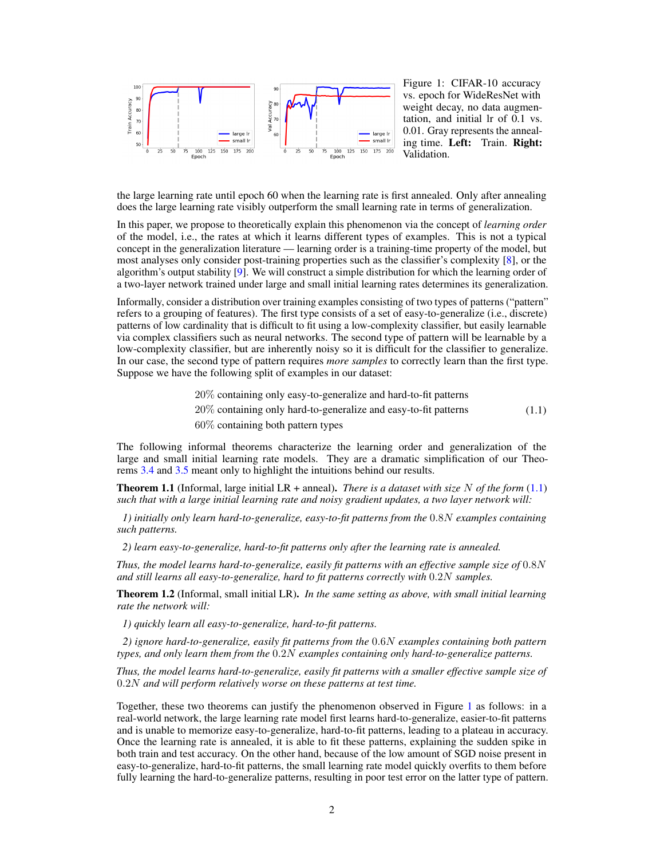

Figure 1: CIFAR-10 accuracy vs. epoch for WideResNet with weight decay, no data augmentation, and initial lr of 0.1 vs. 0.01. Gray represents the annealing time. Left: Train. Right: Validation.

the large learning rate until epoch 60 when the learning rate is first annealed. Only after annealing does the large learning rate visibly outperform the small learning rate in terms of generalization.

In this paper, we propose to theoretically explain this phenomenon via the concept of *learning order* of the model, i.e., the rates at which it learns different types of examples. This is not a typical concept in the generalization literature — learning order is a training-time property of the model, but most analyses only consider post-training properties such as the classifier's complexity [8], or the algorithm's output stability [9]. We will construct a simple distribution for which the learning order of a two-layer network trained under large and small initial learning rates determines its generalization.

Informally, consider a distribution over training examples consisting of two types of patterns ("pattern" refers to a grouping of features). The first type consists of a set of easy-to-generalize (i.e., discrete) patterns of low cardinality that is difficult to fit using a low-complexity classifier, but easily learnable via complex classifiers such as neural networks. The second type of pattern will be learnable by a low-complexity classifier, but are inherently noisy so it is difficult for the classifier to generalize. In our case, the second type of pattern requires *more samples* to correctly learn than the first type. Suppose we have the following split of examples in our dataset:

- 20% containing only easy-to-generalize and hard-to-fit patterns
- 20% containing only hard-to-generalize and easy-to-fit patterns (1.1)
- 60% containing both pattern types

The following informal theorems characterize the learning order and generalization of the large and small initial learning rate models. They are a dramatic simplification of our Theorems 3.4 and 3.5 meant only to highlight the intuitions behind our results.

Theorem 1.1 (Informal, large initial LR + anneal). *There is a dataset with size* N *of the form* (1.1) *such that with a large initial learning rate and noisy gradient updates, a two layer network will:*

*1) initially only learn hard-to-generalize, easy-to-fit patterns from the* 0.8N *examples containing such patterns.*

*2) learn easy-to-generalize, hard-to-fit patterns only after the learning rate is annealed.*

*Thus, the model learns hard-to-generalize, easily fit patterns with an effective sample size of* 0.8N *and still learns all easy-to-generalize, hard to fit patterns correctly with* 0.2N *samples.*

Theorem 1.2 (Informal, small initial LR). *In the same setting as above, with small initial learning rate the network will:*

*1) quickly learn all easy-to-generalize, hard-to-fit patterns.*

*2) ignore hard-to-generalize, easily fit patterns from the* 0.6N *examples containing both pattern types, and only learn them from the* 0.2N *examples containing only hard-to-generalize patterns.*

*Thus, the model learns hard-to-generalize, easily fit patterns with a smaller effective sample size of* 0.2N *and will perform relatively worse on these patterns at test time.*

Together, these two theorems can justify the phenomenon observed in Figure 1 as follows: in a real-world network, the large learning rate model first learns hard-to-generalize, easier-to-fit patterns and is unable to memorize easy-to-generalize, hard-to-fit patterns, leading to a plateau in accuracy. Once the learning rate is annealed, it is able to fit these patterns, explaining the sudden spike in both train and test accuracy. On the other hand, because of the low amount of SGD noise present in easy-to-generalize, hard-to-fit patterns, the small learning rate model quickly overfits to them before fully learning the hard-to-generalize patterns, resulting in poor test error on the latter type of pattern.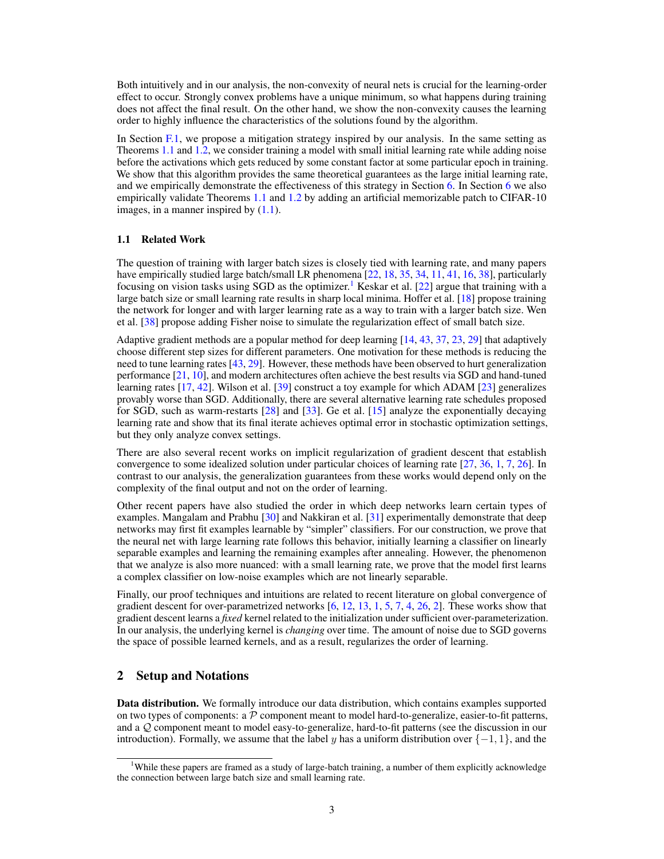Both intuitively and in our analysis, the non-convexity of neural nets is crucial for the learning-order effect to occur. Strongly convex problems have a unique minimum, so what happens during training does not affect the final result. On the other hand, we show the non-convexity causes the learning order to highly influence the characteristics of the solutions found by the algorithm.

In Section F.1, we propose a mitigation strategy inspired by our analysis. In the same setting as Theorems 1.1 and 1.2, we consider training a model with small initial learning rate while adding noise before the activations which gets reduced by some constant factor at some particular epoch in training. We show that this algorithm provides the same theoretical guarantees as the large initial learning rate, and we empirically demonstrate the effectiveness of this strategy in Section 6. In Section 6 we also empirically validate Theorems 1.1 and 1.2 by adding an artificial memorizable patch to CIFAR-10 images, in a manner inspired by  $(1.1)$ .

#### 1.1 Related Work

The question of training with larger batch sizes is closely tied with learning rate, and many papers have empirically studied large batch/small LR phenomena [22, 18, 35, 34, 11, 41, 16, 38], particularly focusing on vision tasks using SGD as the optimizer.<sup>1</sup> Keskar et al. [22] argue that training with a large batch size or small learning rate results in sharp local minima. Hoffer et al. [18] propose training the network for longer and with larger learning rate as a way to train with a larger batch size. Wen et al. [38] propose adding Fisher noise to simulate the regularization effect of small batch size.

Adaptive gradient methods are a popular method for deep learning [14, 43, 37, 23, 29] that adaptively choose different step sizes for different parameters. One motivation for these methods is reducing the need to tune learning rates [43, 29]. However, these methods have been observed to hurt generalization performance [21, 10], and modern architectures often achieve the best results via SGD and hand-tuned learning rates [17, 42]. Wilson et al. [39] construct a toy example for which ADAM [23] generalizes provably worse than SGD. Additionally, there are several alternative learning rate schedules proposed for SGD, such as warm-restarts [28] and [33]. Ge et al. [15] analyze the exponentially decaying learning rate and show that its final iterate achieves optimal error in stochastic optimization settings, but they only analyze convex settings.

There are also several recent works on implicit regularization of gradient descent that establish convergence to some idealized solution under particular choices of learning rate [27, 36, 1, 7, 26]. In contrast to our analysis, the generalization guarantees from these works would depend only on the complexity of the final output and not on the order of learning.

Other recent papers have also studied the order in which deep networks learn certain types of examples. Mangalam and Prabhu [30] and Nakkiran et al. [31] experimentally demonstrate that deep networks may first fit examples learnable by "simpler" classifiers. For our construction, we prove that the neural net with large learning rate follows this behavior, initially learning a classifier on linearly separable examples and learning the remaining examples after annealing. However, the phenomenon that we analyze is also more nuanced: with a small learning rate, we prove that the model first learns a complex classifier on low-noise examples which are not linearly separable.

Finally, our proof techniques and intuitions are related to recent literature on global convergence of gradient descent for over-parametrized networks [6, 12, 13, 1, 5, 7, 4, 26, 2]. These works show that gradient descent learns a *fixed* kernel related to the initialization under sufficient over-parameterization. In our analysis, the underlying kernel is *changing* over time. The amount of noise due to SGD governs the space of possible learned kernels, and as a result, regularizes the order of learning.

#### 2 Setup and Notations

Data distribution. We formally introduce our data distribution, which contains examples supported on two types of components: a  $\mathcal P$  component meant to model hard-to-generalize, easier-to-fit patterns, and a Q component meant to model easy-to-generalize, hard-to-fit patterns (see the discussion in our introduction). Formally, we assume that the label y has a uniform distribution over  $\{-1, 1\}$ , and the

<sup>&</sup>lt;sup>1</sup>While these papers are framed as a study of large-batch training, a number of them explicitly acknowledge the connection between large batch size and small learning rate.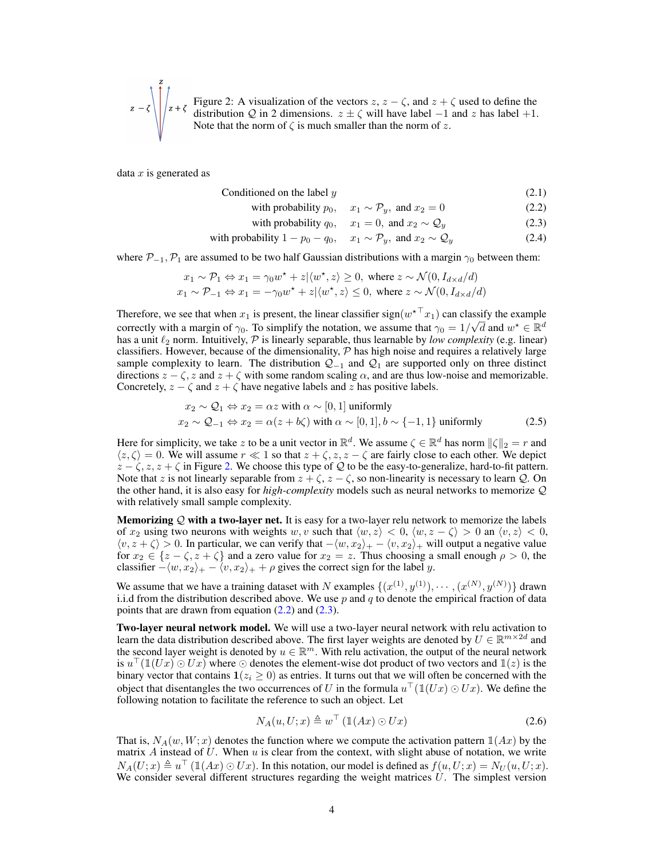$$
z - \zeta \left\{ \int_{z+\zeta}^{z} F_{z} \text{ Figure 2: A visualization of the vectors } z, z - \zeta \text{, and } z + \zeta \text{ used to define the distribution } Q \text{ in 2 dimensions. } z \pm \zeta \text{ will have label } -1 \text{ and } z \text{ has label } +1.
$$
  
Note that the norm of  $\zeta$  is much smaller than the norm of  $z$ .

data  $x$  is generated as

| Conditioned on the label $y$<br>(2.1) |  |  |
|---------------------------------------|--|--|
|---------------------------------------|--|--|

with probability  $p_0$ ,  $x_1 \sim \mathcal{P}_y$ , and  $x_2 = 0$  (2.2)

with probability 
$$
q_0
$$
,  $x_1 = 0$ , and  $x_2 \sim Q_y$  (2.3)

with probability  $1 - p_0 - q_0$ ,  $x_1 \sim \mathcal{P}_y$ , and  $x_2 \sim \mathcal{Q}_y$  (2.4)

where  $\mathcal{P}_{-1},\mathcal{P}_1$  are assumed to be two half Gaussian distributions with a margin  $\gamma_0$  between them:

$$
x_1 \sim \mathcal{P}_1 \Leftrightarrow x_1 = \gamma_0 w^\star + z | \langle w^\star, z \rangle \ge 0, \text{ where } z \sim \mathcal{N}(0, I_{d \times d}/d)
$$
  
 
$$
x_1 \sim \mathcal{P}_{-1} \Leftrightarrow x_1 = -\gamma_0 w^\star + z | \langle w^\star, z \rangle \le 0, \text{ where } z \sim \mathcal{N}(0, I_{d \times d}/d)
$$

Therefore, we see that when  $x_1$  is present, the linear classifier sign( $w^*$   $x_1$ ) can classify the example correctly with a margin of  $\gamma_0$ . To simplify the notation, we assume that  $\gamma_0 = 1/\sqrt{d}$  and  $w^* \in \mathbb{R}^d$ has a unit  $\ell_2$  norm. Intuitively,  $\mathcal P$  is linearly separable, thus learnable by *low complexity* (e.g. linear) classifiers. However, because of the dimensionality,  $P$  has high noise and requires a relatively large sample complexity to learn. The distribution  $Q_{-1}$  and  $Q_1$  are supported only on three distinct directions  $z - \zeta$ , z and  $z + \zeta$  with some random scaling  $\alpha$ , and are thus low-noise and memorizable. Concretely,  $z - \zeta$  and  $z + \zeta$  have negative labels and z has positive labels.

$$
x_2 \sim Q_1 \Leftrightarrow x_2 = \alpha z \text{ with } \alpha \sim [0, 1] \text{ uniformly}
$$
  

$$
x_2 \sim Q_{-1} \Leftrightarrow x_2 = \alpha(z + b\zeta) \text{ with } \alpha \sim [0, 1], b \sim \{-1, 1\} \text{ uniformly}
$$
 (2.5)

Here for simplicity, we take z to be a unit vector in  $\mathbb{R}^d$ . We assume  $\zeta \in \mathbb{R}^d$  has norm  $\|\zeta\|_2 = r$  and  $\langle z, \zeta \rangle = 0$ . We will assume  $r \ll 1$  so that  $z + \zeta$ ,  $z$ ,  $z - \zeta$  are fairly close to each other. We depict  $z - \zeta$ ,  $z$ ,  $z + \zeta$  in Figure 2. We choose this type of Q to be the easy-to-generalize, hard-to-fit pattern. Note that z is not linearly separable from  $z + \zeta$ ,  $z - \zeta$ , so non-linearity is necessary to learn Q. On the other hand, it is also easy for *high-complexity* models such as neural networks to memorize Q with relatively small sample complexity.

**Memorizing**  $Q$  **with a two-layer net.** It is easy for a two-layer relu network to memorize the labels of  $x_2$  using two neurons with weights w, v such that  $\langle w, z \rangle < 0$ ,  $\langle w, z - \zeta \rangle > 0$  an  $\langle v, z \rangle < 0$ ,  $\langle v, z + \zeta \rangle > 0$ . In particular, we can verify that  $-\langle w, x_2 \rangle_+ - \langle v, x_2 \rangle_+$  will output a negative value for  $x_2 \in \{z - \zeta, z + \zeta\}$  and a zero value for  $x_2 = z$ . Thus choosing a small enough  $\rho > 0$ , the classifier  $-\langle w, x_2 \rangle_+ - \langle v, x_2 \rangle_+ + \rho$  gives the correct sign for the label y.

We assume that we have a training dataset with N examples  $\{(x^{(1)}, y^{(1)}), \cdots, (x^{(N)}, y^{(N)})\}$  drawn i.i.d from the distribution described above. We use  $p$  and  $q$  to denote the empirical fraction of data points that are drawn from equation  $(2.2)$  and  $(2.3)$ .

**Two-layer neural network model.** We will use a two-layer neural network with relu activation to learn the data distribution described above. The first layer weights are denoted by  $U \in \mathbb{R}^{m \times 2d}$  and the second layer weight is denoted by  $u \in \mathbb{R}^m$ . With relu activation, the output of the neural network is  $u^{\top}(\mathbb{1}(Ux)\odot Ux)$  where  $\odot$  denotes the element-wise dot product of two vectors and  $\mathbb{1}(z)$  is the binary vector that contains  $\mathbf{1}(z_i \geq 0)$  as entries. It turns out that we will often be concerned with the object that disentangles the two occurrences of U in the formula  $u^{\top}(\mathbb{1}(Ux) \odot Ux)$ . We define the following notation to facilitate the reference to such an object. Let

$$
N_A(u, U; x) \triangleq w^\top \left( \mathbb{1}(Ax) \odot Ux \right) \tag{2.6}
$$

That is,  $N_A(w, W; x)$  denotes the function where we compute the activation pattern  $\mathbb{1}(Ax)$  by the matrix A instead of U. When u is clear from the context, with slight abuse of notation, we write  $N_A(U; x) \triangleq u^\top (\mathbb{1}(Ax) \odot Ux)$ . In this notation, our model is defined as  $f(u, U; x) = N_U(u, U; x)$ . We consider several different structures regarding the weight matrices  $U$ . The simplest version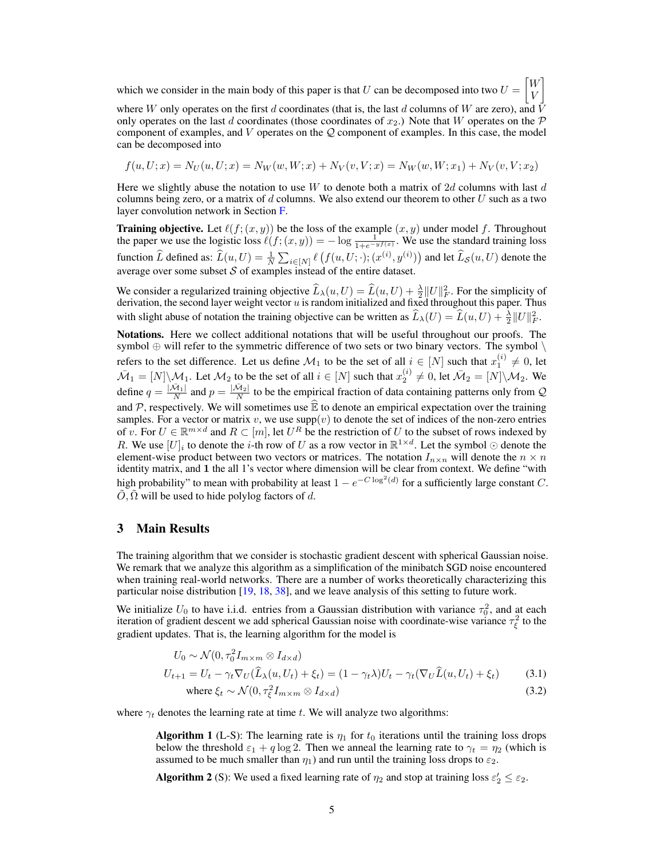which we consider in the main body of this paper is that U can be decomposed into two  $U =$  $\lceil W \rceil$ V 1

where W only operates on the first d coordinates (that is, the last d columns of W are zero), and  $\bar{V}$ only operates on the last d coordinates (those coordinates of  $x_2$ .) Note that W operates on the P component of examples, and  $V$  operates on the  $Q$  component of examples. In this case, the model can be decomposed into

$$
f(u, U; x) = N_U(u, U; x) = N_W(w, W; x) + N_V(v, V; x) = N_W(w, W; x_1) + N_V(v, V; x_2)
$$

Here we slightly abuse the notation to use W to denote both a matrix of 2d columns with last d columns being zero, or a matrix of  $d$  columns. We also extend our theorem to other  $U$  such as a two layer convolution network in Section F.

**Training objective.** Let  $\ell(f; (x, y))$  be the loss of the example  $(x, y)$  under model f. Throughout the paper we use the logistic loss  $\ell(f; (x, y)) = -\log \frac{1}{1 + e^{-y}f(x)}$ . We use the standard training loss function  $\widehat{L}$  defined as:  $\widehat{L}(u, U) = \frac{1}{N} \sum_{i \in [N]} \ell \left( f(u, U; \cdot) ; (x^{(i)}, y^{(i)}) \right)$  and let  $\widehat{L}_{\mathcal{S}}(u, U)$  denote the average over some subset  $S$  of examples instead of the entire dataset.

We consider a regularized training objective  $\widehat{L}_{\lambda}(u, U) = \widehat{L}(u, U) + \frac{\lambda}{2} ||U||_F^2$ . For the simplicity of derivation, the second layer weight vector  $u$  is random initialized and fixed throughout this paper. Thus with slight abuse of notation the training objective can be written as  $\hat{L}_{\lambda}(U) = \hat{L}(u, U) + \frac{\lambda}{2} ||U||_F^2$ .

Notations. Here we collect additional notations that will be useful throughout our proofs. The symbol  $\oplus$  will refer to the symmetric difference of two sets or two binary vectors. The symbol  $\setminus$ refers to the set difference. Let us define  $\mathcal{M}_1$  to be the set of all  $i \in [N]$  such that  $x_1^{(i)} \neq 0$ , let  $\bar{M}_1 = [N] \backslash \mathcal{M}_1$ . Let  $\mathcal{M}_2$  to be the set of all  $i \in [N]$  such that  $x_2^{(i)} \neq 0$ , let  $\bar{\mathcal{M}}_2 = [N] \backslash \mathcal{M}_2$ . We define  $q = \frac{|\bar{\mathcal{M}}_1|}{N}$  and  $p = \frac{|\bar{\mathcal{M}}_2|}{N}$  to be the empirical fraction of data containing patterns only from Q and  $P$ , respectively. We will sometimes use  $\widehat{\mathbb{E}}$  to denote an empirical expectation over the training samples. For a vector or matrix v, we use  $supp(v)$  to denote the set of indices of the non-zero entries of v. For  $U \in \mathbb{R}^{m \times d}$  and  $R \subset [m]$ , let  $U^R$  be the restriction of U to the subset of rows indexed by R. We use  $[U]_i$  to denote the *i*-th row of U as a row vector in  $\mathbb{R}^{1 \times d}$ . Let the symbol  $\odot$  denote the element-wise product between two vectors or matrices. The notation  $I_{n \times n}$  will denote the  $n \times n$ identity matrix, and 1 the all 1's vector where dimension will be clear from context. We define "with high probability" to mean with probability at least  $1 - e^{-C \log^2(d)}$  for a sufficiently large constant C.  $\hat{O}, \hat{\Omega}$  will be used to hide polylog factors of d.

#### 3 Main Results

The training algorithm that we consider is stochastic gradient descent with spherical Gaussian noise. We remark that we analyze this algorithm as a simplification of the minibatch SGD noise encountered when training real-world networks. There are a number of works theoretically characterizing this particular noise distribution [19, 18, 38], and we leave analysis of this setting to future work.

We initialize  $U_0$  to have i.i.d. entries from a Gaussian distribution with variance  $\tau_0^2$ , and at each iteration of gradient descent we add spherical Gaussian noise with coordinate-wise variance  $\tau_{\xi}^2$  to the gradient updates. That is, the learning algorithm for the model is

$$
U_0 \sim \mathcal{N}(0, \tau_0^2 I_{m \times m} \otimes I_{d \times d})
$$
  
\n
$$
U_{t+1} = U_t - \gamma_t \nabla_U(\widehat{L}_{\lambda}(u, U_t) + \xi_t) = (1 - \gamma_t \lambda)U_t - \gamma_t (\nabla_U \widehat{L}(u, U_t) + \xi_t)
$$
 (3.1)  
\nwhere  $\xi_t \sim \mathcal{N}(0, \tau_{\xi}^2 I_{m \times m} \otimes I_{d \times d})$  (3.2)

where  $\gamma_t$  denotes the learning rate at time t. We will analyze two algorithms:

**Algorithm 1** (L-S): The learning rate is  $\eta_1$  for  $t_0$  iterations until the training loss drops below the threshold  $\varepsilon_1 + q \log 2$ . Then we anneal the learning rate to  $\gamma_t = \eta_2$  (which is assumed to be much smaller than  $\eta_1$ ) and run until the training loss drops to  $\varepsilon_2$ .

**Algorithm 2** (S): We used a fixed learning rate of  $\eta_2$  and stop at training loss  $\varepsilon'_2 \le \varepsilon_2$ .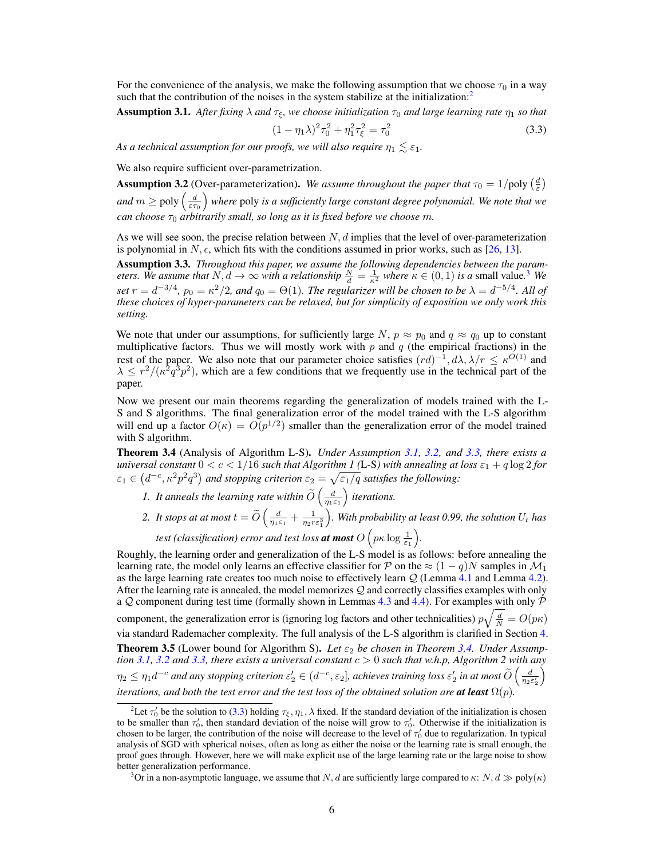For the convenience of the analysis, we make the following assumption that we choose  $\tau_0$  in a way such that the contribution of the noises in the system stabilize at the initialization:<sup>2</sup>

**Assumption 3.1.** After fixing  $\lambda$  and  $\tau_{\xi}$ , we choose initialization  $\tau_0$  and large learning rate  $\eta_1$  so that

$$
(1 - \eta_1 \lambda)^2 \tau_0^2 + \eta_1^2 \tau_\xi^2 = \tau_0^2 \tag{3.3}
$$

*As a technical assumption for our proofs, we will also require*  $\eta_1 \lesssim \varepsilon_1$ *.* 

We also require sufficient over-parametrization.

**Assumption 3.2** (Over-parameterization). We assume throughout the paper that  $\tau_0 = 1/\text{poly}\left(\frac{d}{\varepsilon}\right)$ and  $m \geq \text{poly}\left(\frac{d}{\varepsilon \tau_0}\right)$  *where* poly *is a sufficiently large constant degree polynomial. We note that we*  $can\ choose\ \tau_0\ arbitrary\ small, \ so\ long\ as\ it\ is\ fixed\ before\ we\ choose\ m.$ 

As we will see soon, the precise relation between  $N, d$  implies that the level of over-parameterization is polynomial in  $N, \epsilon$ , which fits with the conditions assumed in prior works, such as [26, 13].

Assumption 3.3. *Throughout this paper, we assume the following dependencies between the parameters.* We assume that  $N, d \to \infty$  with a relationship  $\frac{N}{d} = \frac{1}{\kappa^2}$  where  $\kappa \in (0, 1)$  is a small value.<sup>3</sup> We *set*  $r = d^{-3/4}$ ,  $p_0 = \kappa^2/2$ , and  $q_0 = \Theta(1)$ . The regularizer will be chosen to be  $\lambda = d^{-5/4}$ . All of *these choices of hyper-parameters can be relaxed, but for simplicity of exposition we only work this setting.*

We note that under our assumptions, for sufficiently large  $N$ ,  $p \approx p_0$  and  $q \approx q_0$  up to constant multiplicative factors. Thus we will mostly work with  $p$  and  $q$  (the empirical fractions) in the rest of the paper. We also note that our parameter choice satisfies  $(rd)^{-1}$ ,  $d\lambda$ ,  $\lambda/r \leq \kappa^{O(1)}$  and  $\lambda \leq r^2/(\kappa^2 q^3 p^2)$ , which are a few conditions that we frequently use in the technical part of the paper.

Now we present our main theorems regarding the generalization of models trained with the L-S and S algorithms. The final generalization error of the model trained with the L-S algorithm will end up a factor  $O(\kappa) = O(p^{1/2})$  smaller than the generalization error of the model trained with S algorithm.

Theorem 3.4 (Analysis of Algorithm L-S). *Under Assumption 3.1, 3.2, and 3.3, there exists a universal constant*  $0 < c < 1/16$  *such that Algorithm 1* (L-S) with annealing at loss  $\varepsilon_1 + q \log 2$  for  $\varepsilon_1 \in (d^{-c}, \kappa^2 p^2 q^3)$  and stopping criterion  $\varepsilon_2 = \sqrt{\varepsilon_1/q}$  satisfies the following:

- *1. It anneals the learning rate within*  $\widetilde{O}\left(\frac{d}{\eta_1 \varepsilon_1}\right)$ *iterations.*
- 2. It stops at at most  $t = \widetilde{O}\left(\frac{d}{\eta_1 \varepsilon_1} + \frac{1}{\eta_2 r \varepsilon_1^3}\right)$ *)*. With probability at least 0.99, the solution  $U_t$  has *test (classification) error and test loss at most*  $O\left(p\kappa \log \frac{1}{\varepsilon_1}\right)$ *.*

Roughly, the learning order and generalization of the L-S model is as follows: before annealing the learning rate, the model only learns an effective classifier for P on the  $\approx (1-q)N$  samples in  $\mathcal{M}_1$ as the large learning rate creates too much noise to effectively learn  $Q$  (Lemma 4.1 and Lemma 4.2). After the learning rate is annealed, the model memorizes  $Q$  and correctly classifies examples with only a  $Q$  component during test time (formally shown in Lemmas 4.3 and 4.4). For examples with only  $P$ component, the generalization error is (ignoring log factors and other technicalities)  $p\sqrt{\frac{d}{N}} = O(p\kappa)$ via standard Rademacher complexity. The full analysis of the L-S algorithm is clarified in Section 4. **Theorem 3.5** (Lower bound for Algorithm S). Let  $\varepsilon_2$  be chosen in Theorem 3.4. Under Assump*tion* 3.1, 3.2 and 3.3, there exists a universal constant  $c > 0$  such that w.h.p, Algorithm 2 with any  $\eta_2\leq\eta_1d^{-c}$  and any stopping criterion  $\varepsilon_2'\in(d^{-c},\varepsilon_2]$ , achieves training loss  $\varepsilon_2'$  in at most  $\widetilde{O}\left(\frac{d}{\eta_2\varepsilon_2'}\right)$ Í *iterations, and both the test error and the test loss of the obtained solution are at least*  $\Omega(p)$ *.* 

<sup>&</sup>lt;sup>2</sup>Let  $\tau'_0$  be the solution to (3.3) holding  $\tau_\xi$ ,  $\eta_1$ ,  $\lambda$  fixed. If the standard deviation of the initialization is chosen to be smaller than  $\tau'_0$ , then standard deviation of the noise will grow to  $\tau'_0$ . Otherwise if the initialization is chosen to be larger, the contribution of the noise will decrease to the level of  $\tau'_0$  due to regularization. In typical analysis of SGD with spherical noises, often as long as either the noise or the learning rate is small enough, the proof goes through. However, here we will make explicit use of the large learning rate or the large noise to show better generalization performance.

<sup>&</sup>lt;sup>3</sup>Or in a non-asymptotic language, we assume that N, d are sufficiently large compared to  $\kappa$ :  $N, d \gg \text{poly}(\kappa)$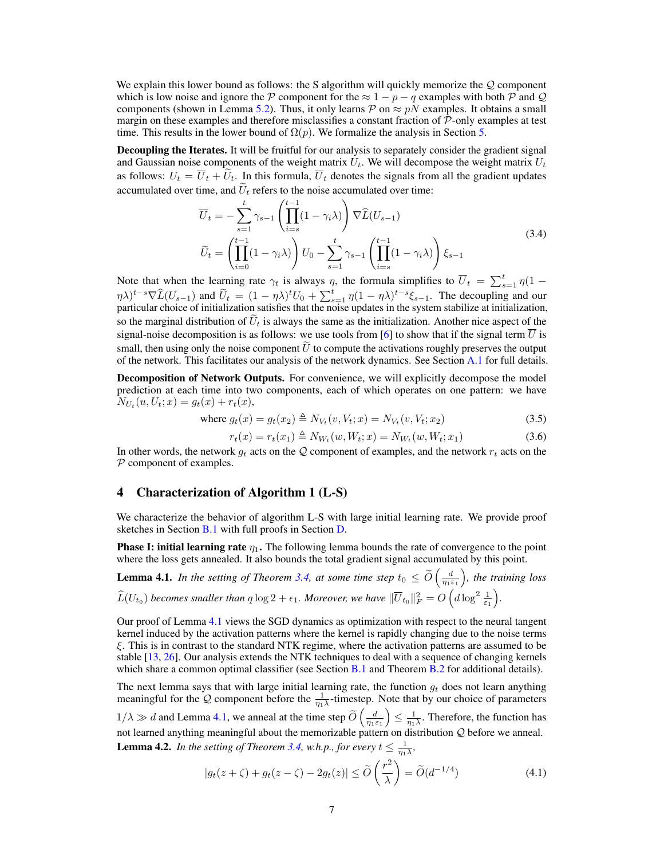We explain this lower bound as follows: the S algorithm will quickly memorize the  $Q$  component which is low noise and ignore the P component for the  $\approx 1 - p - q$  examples with both P and Q components (shown in Lemma 5.2). Thus, it only learns  $P$  on  $\approx pN$  examples. It obtains a small margin on these examples and therefore misclassifies a constant fraction of  $P$ -only examples at test time. This results in the lower bound of  $\Omega(p)$ . We formalize the analysis in Section 5.

Decoupling the Iterates. It will be fruitful for our analysis to separately consider the gradient signal and Gaussian noise components of the weight matrix  $U_t$ . We will decompose the weight matrix  $U_t$ as follows:  $U_t = \overline{U}_t + \widetilde{U}_t$ . In this formula,  $\overline{U}_t$  denotes the signals from all the gradient updates accumulated over time, and  $U_t$  refers to the noise accumulated over time:

$$
\overline{U}_t = -\sum_{s=1}^t \gamma_{s-1} \left( \prod_{i=s}^{t-1} (1 - \gamma_i \lambda) \right) \nabla \widehat{L}(U_{s-1})
$$
\n
$$
\widetilde{U}_t = \left( \prod_{i=0}^{t-1} (1 - \gamma_i \lambda) \right) U_0 - \sum_{s=1}^t \gamma_{s-1} \left( \prod_{i=s}^{t-1} (1 - \gamma_i \lambda) \right) \xi_{s-1}
$$
\n(3.4)

Note that when the learning rate  $\gamma_t$  is always  $\eta$ , the formula simplifies to  $\overline{U}_t = \sum_{s=1}^t \eta(1 (\eta \lambda)^{t-s} \nabla \widehat{L}(U_{s-1})$  and  $\widetilde{U}_t = (1 - \eta \lambda)^t U_0 + \sum_{s=1}^t \eta (1 - \eta \lambda)^{t-s} \xi_{s-1}$ . The decoupling and our particular choice of initialization satisfies that the noise updates in the system stabilize at initialization so the marginal distribution of  $U_t$  is always the same as the initialization. Another nice aspect of the signal-noise decomposition is as follows: we use tools from [6] to show that if the signal term  $\overline{U}$  is small, then using only the noise component  $\tilde{U}$  to compute the activations roughly preserves the output of the network. This facilitates our analysis of the network dynamics. See Section A.1 for full details.

Decomposition of Network Outputs. For convenience, we will explicitly decompose the model prediction at each time into two components, each of which operates on one pattern: we have  $N_{U_t}(u, U_t; x) = g_t(x) + r_t(x),$ 

where 
$$
g_t(x) = g_t(x_2) \triangleq N_{V_t}(v, V_t; x) = N_{V_t}(v, V_t; x_2)
$$
 (3.5)

$$
r_t(x) = r_t(x_1) \triangleq N_{W_t}(w, W_t; x) = N_{W_t}(w, W_t; x_1)
$$
\n(3.6)

In other words, the network  $g_t$  acts on the Q component of examples, and the network  $r_t$  acts on the P component of examples.

#### 4 Characterization of Algorithm 1 (L-S)

We characterize the behavior of algorithm L-S with large initial learning rate. We provide proof sketches in Section B.1 with full proofs in Section D.

**Phase I: initial learning rate**  $\eta_1$ . The following lemma bounds the rate of convergence to the point where the loss gets annealed. It also bounds the total gradient signal accumulated by this point.

**Lemma 4.1.** In the setting of Theorem 3.4, at some time step  $t_0 \le \widetilde{O}\left(\frac{d}{\eta_1 \varepsilon_1}\right)$  *, the training loss*  $\widehat{L}(U_{t_0})$  becomes smaller than  $q \log 2 + \epsilon_1$ . Moreover, we have  $\|\overline{U}_{t_0}\|_F^2 = O\left(d \log^2 \frac{1}{\epsilon_1}\right)$ *.*

Our proof of Lemma 4.1 views the SGD dynamics as optimization with respect to the neural tangent kernel induced by the activation patterns where the kernel is rapidly changing due to the noise terms ξ. This is in contrast to the standard NTK regime, where the activation patterns are assumed to be stable [13, 26]. Our analysis extends the NTK techniques to deal with a sequence of changing kernels which share a common optimal classifier (see Section  $B.1$  and Theorem  $B.2$  for additional details).

The next lemma says that with large initial learning rate, the function  $g_t$  does not learn anything meaningful for the Q component before the  $\frac{1}{\eta_1 \lambda}$ -timestep. Note that by our choice of parameters

 $1/\lambda \gg d$  and Lemma 4.1, we anneal at the time step  $\widetilde{O}\left(\frac{d}{\eta_1 \varepsilon_1}\right)$  $\overline{ }$  $\leq \frac{1}{\eta_1 \lambda}$ . Therefore, the function has not learned anything meaningful about the memorizable pattern on distribution Q before we anneal. **Lemma 4.2.** In the setting of Theorem 3.4, w.h.p., for every  $t \leq \frac{1}{\eta_1 \lambda}$ ,

$$
|g_t(z+\zeta) + g_t(z-\zeta) - 2g_t(z)| \le \widetilde{O}\left(\frac{r^2}{\lambda}\right) = \widetilde{O}(d^{-1/4})\tag{4.1}
$$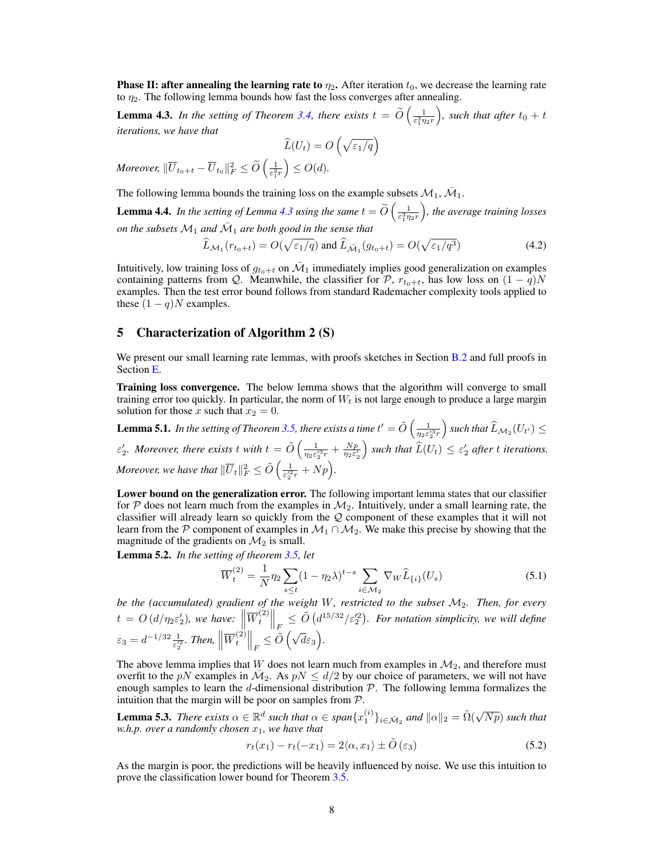**Phase II: after annealing the learning rate to**  $\eta_2$ . After iteration  $t_0$ , we decrease the learning rate to  $\eta_2$ . The following lemma bounds how fast the loss converges after annealing.

**Lemma 4.3.** In the setting of Theorem 3.4, there exists  $t = \tilde{O}\left(\frac{1}{\varepsilon_1^3 \eta_2 r}\right)$ *)*, such that after  $t_0 + t$ *iterations, we have that*

$$
\widehat{L}(U_t) = O\left(\sqrt{\varepsilon_1/q}\right)
$$

*Moreover,*  $\Vert \overline{U}_{t_0+t} - \overline{U}_{t_0} \Vert_F^2 \leq \widetilde{O}\left( \frac{1}{\varepsilon_1^2 r} \right)$  $\Big) \leq O(d).$ 

The following lemma bounds the training loss on the example subsets  $\mathcal{M}_1$ ,  $\bar{\mathcal{M}}_1$ .

**Lemma 4.4.** In the setting of Lemma 4.3 using the same  $t = \widetilde{O}\left(\frac{1}{\varepsilon_1^3 \eta_2 r}\right)$  *, the average training losses on the subsets*  $\mathcal{M}_1$  *and*  $\bar{\mathcal{M}}_1$  *are both good in the sense that* 

$$
\widehat{L}_{\mathcal{M}_1}(r_{t_0+t}) = O(\sqrt{\varepsilon_1/q}) \text{ and } \widehat{L}_{\bar{\mathcal{M}}_1}(g_{t_0+t}) = O(\sqrt{\varepsilon_1/q^3})
$$
\n(4.2)

Intuitively, low training loss of  $g_{t_0+t}$  on  $\overline{\mathcal{M}}_1$  immediately implies good generalization on examples containing patterns from Q. Meanwhile, the classifier for P,  $r_{t_0+t}$ , has low loss on  $(1 - q)N$ examples. Then the test error bound follows from standard Rademacher complexity tools applied to these  $(1 - q)N$  examples.

#### 5 Characterization of Algorithm 2 (S)

We present our small learning rate lemmas, with proofs sketches in Section B.2 and full proofs in Section E.

Training loss convergence. The below lemma shows that the algorithm will converge to small training error too quickly. In particular, the norm of  $W_t$  is not large enough to produce a large margin solution for those x such that  $x_2 = 0$ .

**Lemma 5.1.** In the setting of Theorem 3.5, there exists a time  $t' = \tilde{O}\left(\frac{1}{\eta_2\varepsilon_2^{\alpha_3}r} \right)$  $\Big)$  such that  $\widehat{L}_{\mathcal{M}_2}(U_{t'}) \leq$  $\varepsilon'_2$ . Moreover, there exists t with  $t = \tilde{O}\left(\frac{1}{\eta_2 \varepsilon'^3_2 r} + \frac{Np}{\eta_2 \varepsilon'_2} \right)$  $\int$  such that  $\widehat{L}(U_t) \leq \varepsilon_2'$  after t *iterations. Moreover, we have that*  $\|\overline{U}_t\|_F^2 \le \tilde{O}\left(\frac{1}{\varepsilon_2'^{2r}}+Np\right)$ .

Lower bound on the generalization error. The following important lemma states that our classifier for  $\mathcal P$  does not learn much from the examples in  $\mathcal M_2$ . Intuitively, under a small learning rate, the classifier will already learn so quickly from the Q component of these examples that it will not learn from the P component of examples in  $\mathcal{M}_1 \cap \mathcal{M}_2$ . We make this precise by showing that the magnitude of the gradients on  $\mathcal{M}_2$  is small.

Lemma 5.2. *In the setting of theorem 3.5, let*

$$
\overline{W}_t^{(2)} = \frac{1}{N} \eta_2 \sum_{s \le t} (1 - \eta_2 \lambda)^{t-s} \sum_{i \in \mathcal{M}_2} \nabla_W \widehat{L}_{\{i\}}(U_s)
$$
(5.1)

*be the (accumulated) gradient of the weight* W*, restricted to the subset* M2*. Then, for every*  $t = O\left(d/\eta_2 \varepsilon_2'\right)$ , we have:  $\left\|\overline{W}_t^{(2)}\right\|$  $\left\|\frac{d^{(2)}}{dt}\right\|_{F} \leq \tilde{O}\left(d^{15/32}/\varepsilon_2'^2\right)$ . For notation simplicity, we will define F  $\varepsilon_3 = d^{-1/32} \frac{1}{\varepsilon_2^{\prime 2}}$ . Then,  $\left\| \overline{W}_t^{(2)} \right\|$  $\left\| \frac{d^{(2)}}{t} \right\|_F \leq \tilde{O}\left(\sqrt{d}\varepsilon_3\right).$ 

The above lemma implies that  $W$  does not learn much from examples in  $\mathcal{M}_2$ , and therefore must overfit to the pN examples in  $\overline{M}_2$ . As  $pN \le d/2$  by our choice of parameters, we will not have enough samples to learn the d-dimensional distribution  $P$ . The following lemma formalizes the intuition that the margin will be poor on samples from  $P$ .

**Lemma 5.3.** *There exists*  $\alpha \in \mathbb{R}^d$  *such that*  $\alpha \in span\{x_1^{(i)}\}_{i \in \bar{\mathcal{M}}_2}$  *and*  $\|\alpha\|_2 = \tilde{\Omega}(\sqrt{Np})$  *such that*  $w.h.p.$  *over a randomly chosen*  $x_1$ *, we have that* 

$$
r_t(x_1) - r_t(-x_1) = 2\langle \alpha, x_1 \rangle \pm \tilde{O}(\varepsilon_3)
$$
\n(5.2)

As the margin is poor, the predictions will be heavily influenced by noise. We use this intuition to prove the classification lower bound for Theorem 3.5.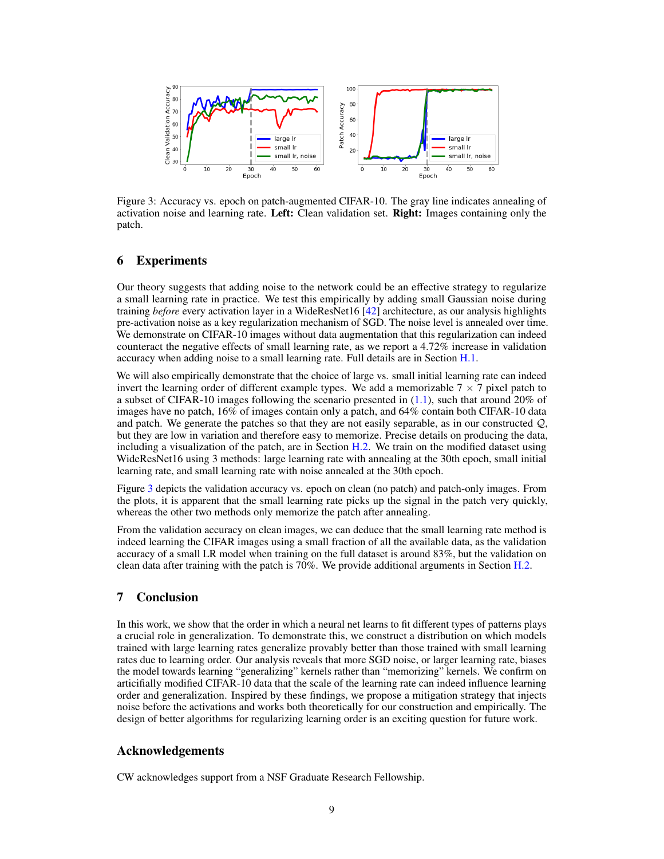

Figure 3: Accuracy vs. epoch on patch-augmented CIFAR-10. The gray line indicates annealing of activation noise and learning rate. Left: Clean validation set. Right: Images containing only the patch.

## 6 Experiments

Our theory suggests that adding noise to the network could be an effective strategy to regularize a small learning rate in practice. We test this empirically by adding small Gaussian noise during training *before* every activation layer in a WideResNet16 [42] architecture, as our analysis highlights pre-activation noise as a key regularization mechanism of SGD. The noise level is annealed over time. We demonstrate on CIFAR-10 images without data augmentation that this regularization can indeed counteract the negative effects of small learning rate, as we report a 4.72% increase in validation accuracy when adding noise to a small learning rate. Full details are in Section H.1.

We will also empirically demonstrate that the choice of large vs. small initial learning rate can indeed invert the learning order of different example types. We add a memorizable  $7 \times 7$  pixel patch to a subset of CIFAR-10 images following the scenario presented in (1.1), such that around 20% of images have no patch, 16% of images contain only a patch, and 64% contain both CIFAR-10 data and patch. We generate the patches so that they are not easily separable, as in our constructed  $Q$ , but they are low in variation and therefore easy to memorize. Precise details on producing the data, including a visualization of the patch, are in Section H.2. We train on the modified dataset using WideResNet16 using 3 methods: large learning rate with annealing at the 30th epoch, small initial learning rate, and small learning rate with noise annealed at the 30th epoch.

Figure 3 depicts the validation accuracy vs. epoch on clean (no patch) and patch-only images. From the plots, it is apparent that the small learning rate picks up the signal in the patch very quickly, whereas the other two methods only memorize the patch after annealing.

From the validation accuracy on clean images, we can deduce that the small learning rate method is indeed learning the CIFAR images using a small fraction of all the available data, as the validation accuracy of a small LR model when training on the full dataset is around 83%, but the validation on clean data after training with the patch is 70%. We provide additional arguments in Section H.2.

## 7 Conclusion

In this work, we show that the order in which a neural net learns to fit different types of patterns plays a crucial role in generalization. To demonstrate this, we construct a distribution on which models trained with large learning rates generalize provably better than those trained with small learning rates due to learning order. Our analysis reveals that more SGD noise, or larger learning rate, biases the model towards learning "generalizing" kernels rather than "memorizing" kernels. We confirm on articifially modified CIFAR-10 data that the scale of the learning rate can indeed influence learning order and generalization. Inspired by these findings, we propose a mitigation strategy that injects noise before the activations and works both theoretically for our construction and empirically. The design of better algorithms for regularizing learning order is an exciting question for future work.

## Acknowledgements

CW acknowledges support from a NSF Graduate Research Fellowship.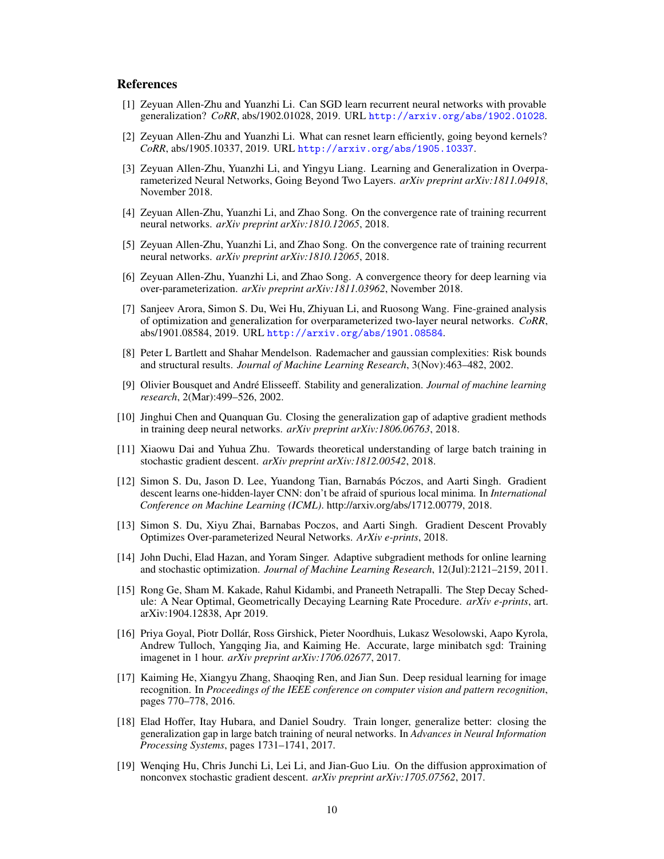## References

- [1] Zeyuan Allen-Zhu and Yuanzhi Li. Can SGD learn recurrent neural networks with provable generalization? *CoRR*, abs/1902.01028, 2019. URL http://arxiv.org/abs/1902.01028.
- [2] Zeyuan Allen-Zhu and Yuanzhi Li. What can resnet learn efficiently, going beyond kernels? *CoRR*, abs/1905.10337, 2019. URL http://arxiv.org/abs/1905.10337.
- [3] Zeyuan Allen-Zhu, Yuanzhi Li, and Yingyu Liang. Learning and Generalization in Overparameterized Neural Networks, Going Beyond Two Layers. *arXiv preprint arXiv:1811.04918*, November 2018.
- [4] Zeyuan Allen-Zhu, Yuanzhi Li, and Zhao Song. On the convergence rate of training recurrent neural networks. *arXiv preprint arXiv:1810.12065*, 2018.
- [5] Zeyuan Allen-Zhu, Yuanzhi Li, and Zhao Song. On the convergence rate of training recurrent neural networks. *arXiv preprint arXiv:1810.12065*, 2018.
- [6] Zeyuan Allen-Zhu, Yuanzhi Li, and Zhao Song. A convergence theory for deep learning via over-parameterization. *arXiv preprint arXiv:1811.03962*, November 2018.
- [7] Sanjeev Arora, Simon S. Du, Wei Hu, Zhiyuan Li, and Ruosong Wang. Fine-grained analysis of optimization and generalization for overparameterized two-layer neural networks. *CoRR*, abs/1901.08584, 2019. URL http://arxiv.org/abs/1901.08584.
- [8] Peter L Bartlett and Shahar Mendelson. Rademacher and gaussian complexities: Risk bounds and structural results. *Journal of Machine Learning Research*, 3(Nov):463–482, 2002.
- [9] Olivier Bousquet and André Elisseeff. Stability and generalization. *Journal of machine learning research*, 2(Mar):499–526, 2002.
- [10] Jinghui Chen and Quanquan Gu. Closing the generalization gap of adaptive gradient methods in training deep neural networks. *arXiv preprint arXiv:1806.06763*, 2018.
- [11] Xiaowu Dai and Yuhua Zhu. Towards theoretical understanding of large batch training in stochastic gradient descent. *arXiv preprint arXiv:1812.00542*, 2018.
- [12] Simon S. Du, Jason D. Lee, Yuandong Tian, Barnabás Póczos, and Aarti Singh. Gradient descent learns one-hidden-layer CNN: don't be afraid of spurious local minima. In *International Conference on Machine Learning (ICML)*. http://arxiv.org/abs/1712.00779, 2018.
- [13] Simon S. Du, Xiyu Zhai, Barnabas Poczos, and Aarti Singh. Gradient Descent Provably Optimizes Over-parameterized Neural Networks. *ArXiv e-prints*, 2018.
- [14] John Duchi, Elad Hazan, and Yoram Singer. Adaptive subgradient methods for online learning and stochastic optimization. *Journal of Machine Learning Research*, 12(Jul):2121–2159, 2011.
- [15] Rong Ge, Sham M. Kakade, Rahul Kidambi, and Praneeth Netrapalli. The Step Decay Schedule: A Near Optimal, Geometrically Decaying Learning Rate Procedure. *arXiv e-prints*, art. arXiv:1904.12838, Apr 2019.
- [16] Priya Goyal, Piotr Dollár, Ross Girshick, Pieter Noordhuis, Lukasz Wesolowski, Aapo Kyrola, Andrew Tulloch, Yangqing Jia, and Kaiming He. Accurate, large minibatch sgd: Training imagenet in 1 hour. *arXiv preprint arXiv:1706.02677*, 2017.
- [17] Kaiming He, Xiangyu Zhang, Shaoqing Ren, and Jian Sun. Deep residual learning for image recognition. In *Proceedings of the IEEE conference on computer vision and pattern recognition*, pages 770–778, 2016.
- [18] Elad Hoffer, Itay Hubara, and Daniel Soudry. Train longer, generalize better: closing the generalization gap in large batch training of neural networks. In *Advances in Neural Information Processing Systems*, pages 1731–1741, 2017.
- [19] Wenqing Hu, Chris Junchi Li, Lei Li, and Jian-Guo Liu. On the diffusion approximation of nonconvex stochastic gradient descent. *arXiv preprint arXiv:1705.07562*, 2017.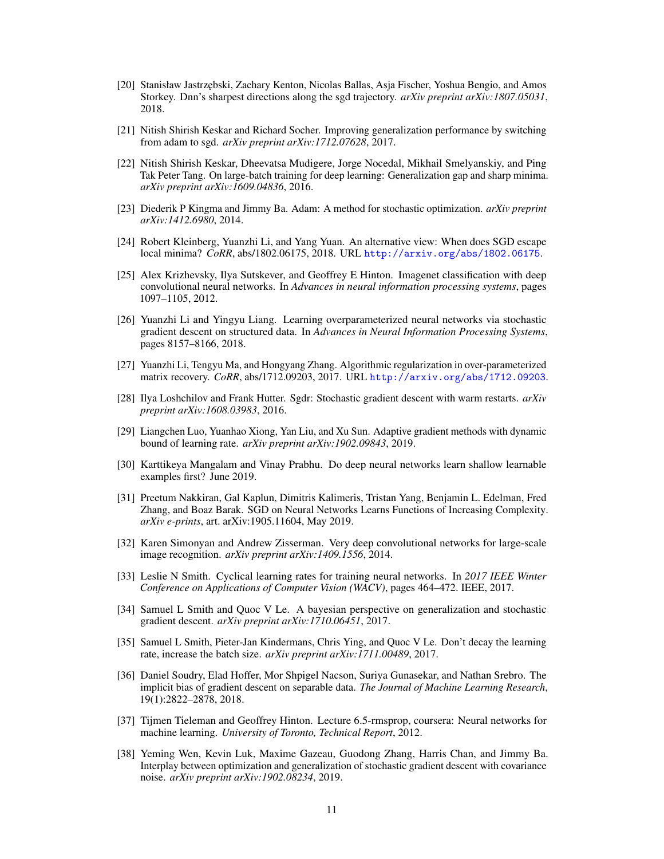- [20] Stanisław Jastrzębski, Zachary Kenton, Nicolas Ballas, Asja Fischer, Yoshua Bengio, and Amos Storkey. Dnn's sharpest directions along the sgd trajectory. *arXiv preprint arXiv:1807.05031*, 2018.
- [21] Nitish Shirish Keskar and Richard Socher. Improving generalization performance by switching from adam to sgd. *arXiv preprint arXiv:1712.07628*, 2017.
- [22] Nitish Shirish Keskar, Dheevatsa Mudigere, Jorge Nocedal, Mikhail Smelyanskiy, and Ping Tak Peter Tang. On large-batch training for deep learning: Generalization gap and sharp minima. *arXiv preprint arXiv:1609.04836*, 2016.
- [23] Diederik P Kingma and Jimmy Ba. Adam: A method for stochastic optimization. *arXiv preprint arXiv:1412.6980*, 2014.
- [24] Robert Kleinberg, Yuanzhi Li, and Yang Yuan. An alternative view: When does SGD escape local minima? *CoRR*, abs/1802.06175, 2018. URL http://arxiv.org/abs/1802.06175.
- [25] Alex Krizhevsky, Ilya Sutskever, and Geoffrey E Hinton. Imagenet classification with deep convolutional neural networks. In *Advances in neural information processing systems*, pages 1097–1105, 2012.
- [26] Yuanzhi Li and Yingyu Liang. Learning overparameterized neural networks via stochastic gradient descent on structured data. In *Advances in Neural Information Processing Systems*, pages 8157–8166, 2018.
- [27] Yuanzhi Li, Tengyu Ma, and Hongyang Zhang. Algorithmic regularization in over-parameterized matrix recovery. *CoRR*, abs/1712.09203, 2017. URL http://arxiv.org/abs/1712.09203.
- [28] Ilya Loshchilov and Frank Hutter. Sgdr: Stochastic gradient descent with warm restarts. *arXiv preprint arXiv:1608.03983*, 2016.
- [29] Liangchen Luo, Yuanhao Xiong, Yan Liu, and Xu Sun. Adaptive gradient methods with dynamic bound of learning rate. *arXiv preprint arXiv:1902.09843*, 2019.
- [30] Karttikeya Mangalam and Vinay Prabhu. Do deep neural networks learn shallow learnable examples first? June 2019.
- [31] Preetum Nakkiran, Gal Kaplun, Dimitris Kalimeris, Tristan Yang, Benjamin L. Edelman, Fred Zhang, and Boaz Barak. SGD on Neural Networks Learns Functions of Increasing Complexity. *arXiv e-prints*, art. arXiv:1905.11604, May 2019.
- [32] Karen Simonyan and Andrew Zisserman. Very deep convolutional networks for large-scale image recognition. *arXiv preprint arXiv:1409.1556*, 2014.
- [33] Leslie N Smith. Cyclical learning rates for training neural networks. In *2017 IEEE Winter Conference on Applications of Computer Vision (WACV)*, pages 464–472. IEEE, 2017.
- [34] Samuel L Smith and Quoc V Le. A bayesian perspective on generalization and stochastic gradient descent. *arXiv preprint arXiv:1710.06451*, 2017.
- [35] Samuel L Smith, Pieter-Jan Kindermans, Chris Ying, and Quoc V Le. Don't decay the learning rate, increase the batch size. *arXiv preprint arXiv:1711.00489*, 2017.
- [36] Daniel Soudry, Elad Hoffer, Mor Shpigel Nacson, Suriya Gunasekar, and Nathan Srebro. The implicit bias of gradient descent on separable data. *The Journal of Machine Learning Research*, 19(1):2822–2878, 2018.
- [37] Tijmen Tieleman and Geoffrey Hinton. Lecture 6.5-rmsprop, coursera: Neural networks for machine learning. *University of Toronto, Technical Report*, 2012.
- [38] Yeming Wen, Kevin Luk, Maxime Gazeau, Guodong Zhang, Harris Chan, and Jimmy Ba. Interplay between optimization and generalization of stochastic gradient descent with covariance noise. *arXiv preprint arXiv:1902.08234*, 2019.